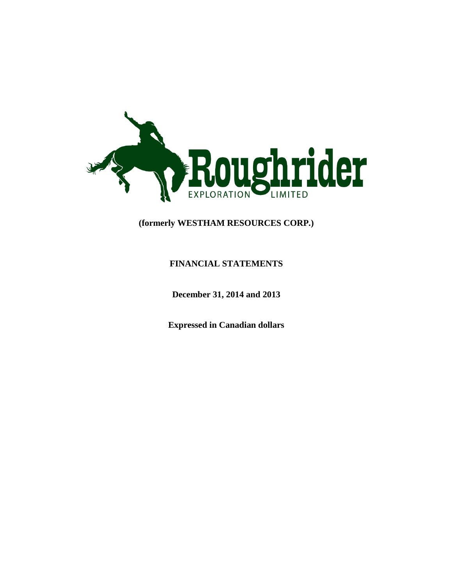

# **(formerly WESTHAM RESOURCES CORP.)**

## **FINANCIAL STATEMENTS**

**December 31, 2014 and 2013**

**Expressed in Canadian dollars**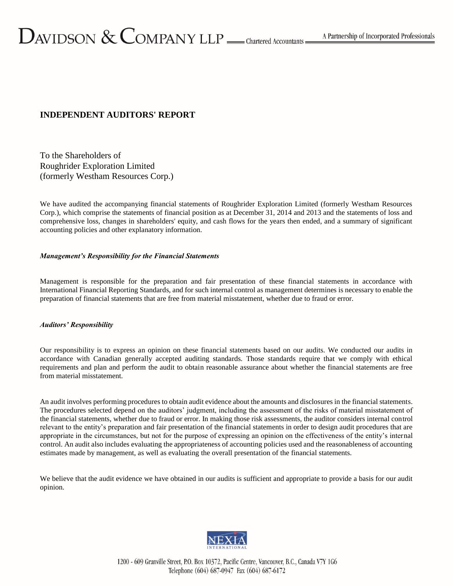## **INDEPENDENT AUDITORS' REPORT**

To the Shareholders of Roughrider Exploration Limited (formerly Westham Resources Corp.)

We have audited the accompanying financial statements of Roughrider Exploration Limited (formerly Westham Resources Corp.), which comprise the statements of financial position as at December 31, 2014 and 2013 and the statements of loss and comprehensive loss, changes in shareholders' equity, and cash flows for the years then ended, and a summary of significant accounting policies and other explanatory information.

### *Management's Responsibility for the Financial Statements*

Management is responsible for the preparation and fair presentation of these financial statements in accordance with International Financial Reporting Standards, and for such internal control as management determines is necessary to enable the preparation of financial statements that are free from material misstatement, whether due to fraud or error.

### *Auditors' Responsibility*

Our responsibility is to express an opinion on these financial statements based on our audits. We conducted our audits in accordance with Canadian generally accepted auditing standards. Those standards require that we comply with ethical requirements and plan and perform the audit to obtain reasonable assurance about whether the financial statements are free from material misstatement.

An audit involves performing procedures to obtain audit evidence about the amounts and disclosures in the financial statements. The procedures selected depend on the auditors' judgment, including the assessment of the risks of material misstatement of the financial statements, whether due to fraud or error. In making those risk assessments, the auditor considers internal control relevant to the entity's preparation and fair presentation of the financial statements in order to design audit procedures that are appropriate in the circumstances, but not for the purpose of expressing an opinion on the effectiveness of the entity's internal control. An audit also includes evaluating the appropriateness of accounting policies used and the reasonableness of accounting estimates made by management, as well as evaluating the overall presentation of the financial statements.

We believe that the audit evidence we have obtained in our audits is sufficient and appropriate to provide a basis for our audit opinion.



1200 - 609 Granville Street, P.O. Box 10372, Pacific Centre, Vancouver, B.C., Canada V7Y 1G6 Telephone (604) 687-0947 Fax (604) 687-6172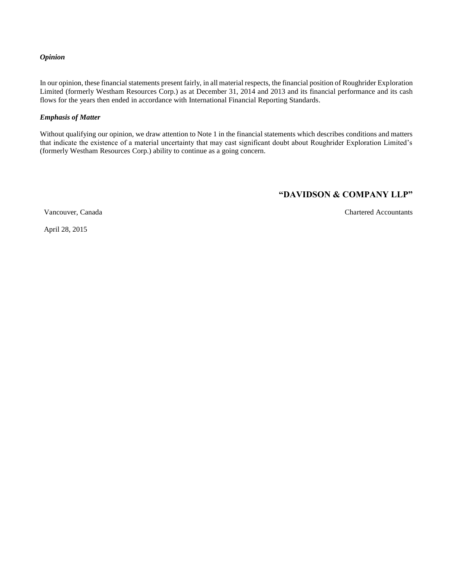#### *Opinion*

In our opinion, these financial statements present fairly, in all material respects, the financial position of Roughrider Exploration Limited (formerly Westham Resources Corp.) as at December 31, 2014 and 2013 and its financial performance and its cash flows for the years then ended in accordance with International Financial Reporting Standards.

### *Emphasis of Matter*

Without qualifying our opinion, we draw attention to Note 1 in the financial statements which describes conditions and matters that indicate the existence of a material uncertainty that may cast significant doubt about Roughrider Exploration Limited's (formerly Westham Resources Corp.) ability to continue as a going concern.

## **"DAVIDSON & COMPANY LLP"**

Vancouver, Canada Chartered Accountants

April 28, 2015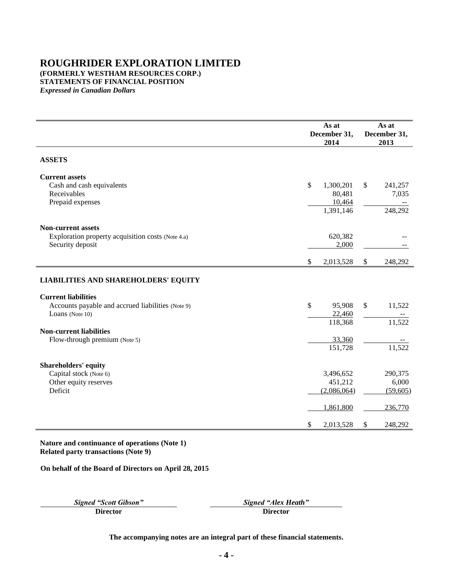## **ROUGHRIDER EXPLORATION LIMITED (FORMERLY WESTHAM RESOURCES CORP.) STATEMENTS OF FINANCIAL POSITION** *Expressed in Canadian Dollars*

|                                                                                                    | As at<br>December 31,<br>2014                    | As at<br>December 31,<br>2013     |
|----------------------------------------------------------------------------------------------------|--------------------------------------------------|-----------------------------------|
| <b>ASSETS</b>                                                                                      |                                                  |                                   |
| <b>Current assets</b><br>Cash and cash equivalents<br>Receivables<br>Prepaid expenses              | \$<br>1,300,201<br>80,481<br>10,464<br>1,391,146 | \$<br>241,257<br>7,035<br>248,292 |
| <b>Non-current assets</b><br>Exploration property acquisition costs (Note 4.a)<br>Security deposit | 620,382<br>2,000                                 |                                   |
|                                                                                                    | \$<br>2,013,528                                  | \$<br>248,292                     |
| <b>LIABILITIES AND SHAREHOLDERS' EQUITY</b>                                                        |                                                  |                                   |
| <b>Current liabilities</b><br>Accounts payable and accrued liabilities (Note 9)<br>Loans (Note 10) | \$<br>95,908<br>22,460<br>118,368                | \$<br>11,522<br>11,522            |
| <b>Non-current liabilities</b><br>Flow-through premium (Note 5)                                    | 33,360<br>151,728                                | 11,522                            |
| <b>Shareholders' equity</b><br>Capital stock (Note 6)<br>Other equity reserves<br>Deficit          | 3,496,652<br>451,212<br>(2,086,064)              | 290,375<br>6,000<br>(59,605)      |
|                                                                                                    | 1,861,800                                        | 236,770                           |
|                                                                                                    | \$<br>2,013,528                                  | \$<br>248,292                     |

**Nature and continuance of operations (Note 1) Related party transactions (Note [9\)](#page-20-0)**

**On behalf of the Board of Directors on April 28, 2015**

**Director Director**

*Signed "Scott Gibson" Signed "Alex Heath"*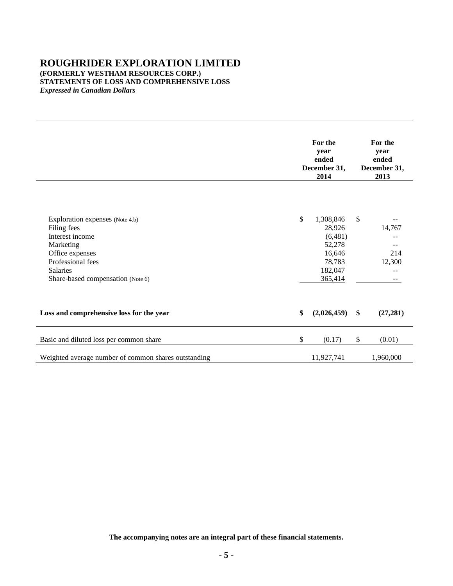## **ROUGHRIDER EXPLORATION LIMITED (FORMERLY WESTHAM RESOURCES CORP.) STATEMENTS OF LOSS AND COMPREHENSIVE LOSS** *Expressed in Canadian Dollars*

|                                                                                                                                                                                | For the<br>year<br>ended<br>December 31,<br>2014 |                                                                                    | For the<br>year<br>ended<br>December 31,<br>2013 |                         |
|--------------------------------------------------------------------------------------------------------------------------------------------------------------------------------|--------------------------------------------------|------------------------------------------------------------------------------------|--------------------------------------------------|-------------------------|
| Exploration expenses (Note 4.b)<br>Filing fees<br>Interest income<br>Marketing<br>Office expenses<br>Professional fees<br><b>Salaries</b><br>Share-based compensation (Note 6) | $\mathbb{S}$                                     | 1,308,846<br>28,926<br>(6,481)<br>52,278<br>16,646<br>78,783<br>182,047<br>365,414 | \$                                               | 14,767<br>214<br>12,300 |
| Loss and comprehensive loss for the year                                                                                                                                       | \$                                               | (2,026,459)                                                                        | $\mathbf{\$}$                                    | (27, 281)               |
| Basic and diluted loss per common share                                                                                                                                        | \$                                               | (0.17)                                                                             | \$                                               | (0.01)                  |
| Weighted average number of common shares outstanding                                                                                                                           |                                                  | 11,927,741                                                                         |                                                  | 1,960,000               |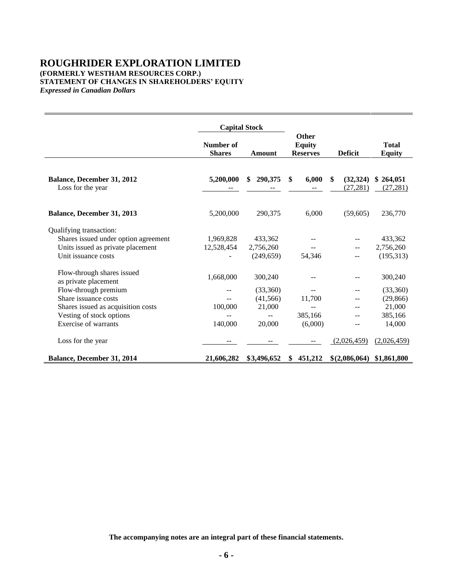## **ROUGHRIDER EXPLORATION LIMITED (FORMERLY WESTHAM RESOURCES CORP.) STATEMENT OF CHANGES IN SHAREHOLDERS' EQUITY** *Expressed in Canadian Dollars*

|                                                    | <b>Capital Stock</b>       |               |                                                  |                                         |                               |
|----------------------------------------------------|----------------------------|---------------|--------------------------------------------------|-----------------------------------------|-------------------------------|
|                                                    | Number of<br><b>Shares</b> | Amount        | <b>Other</b><br><b>Equity</b><br><b>Reserves</b> | <b>Deficit</b>                          | <b>Total</b><br><b>Equity</b> |
|                                                    |                            |               |                                                  |                                         |                               |
| Balance, December 31, 2012<br>Loss for the year    | 5,200,000                  | 290,375<br>\$ | \$<br>6,000<br>$\frac{1}{2}$                     | <sup>\$</sup><br>(32, 324)<br>(27, 281) | \$264,051<br>(27, 281)        |
| Balance, December 31, 2013                         | 5,200,000                  | 290,375       | 6,000                                            | (59,605)                                | 236,770                       |
| Qualifying transaction:                            |                            |               |                                                  |                                         |                               |
| Shares issued under option agreement               | 1,969,828                  | 433,362       |                                                  |                                         | 433,362                       |
| Units issued as private placement                  | 12,528,454                 | 2,756,260     |                                                  |                                         | 2,756,260                     |
| Unit issuance costs                                |                            | (249.659)     | 54,346                                           |                                         | (195, 313)                    |
| Flow-through shares issued<br>as private placement | 1,668,000                  | 300,240       |                                                  |                                         | 300,240                       |
| Flow-through premium                               |                            | (33,360)      |                                                  |                                         | (33,360)                      |
| Share issuance costs                               |                            | (41, 566)     | 11,700                                           |                                         | (29, 866)                     |
| Shares issued as acquisition costs                 | 100,000                    | 21,000        |                                                  |                                         | 21,000                        |
| Vesting of stock options                           |                            |               | 385,166                                          |                                         | 385,166                       |
| Exercise of warrants                               | 140,000                    | 20,000        | (6,000)                                          |                                         | 14,000                        |
| Loss for the year                                  |                            |               |                                                  | (2,026,459)                             | (2,026,459)                   |
| Balance, December 31, 2014                         | 21,606,282                 | \$3,496,652   | 451,212<br>\$                                    | \$(2,086,064)                           | \$1,861,800                   |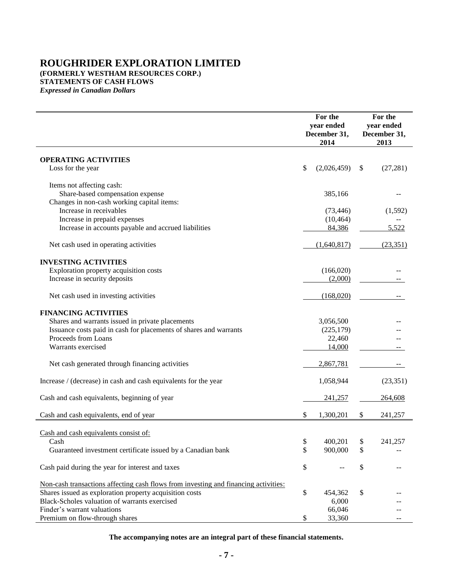# **ROUGHRIDER EXPLORATION LIMITED (FORMERLY WESTHAM RESOURCES CORP.)**

**STATEMENTS OF CASH FLOWS**

*Expressed in Canadian Dollars*

|                                                                                     | For the<br>year ended<br>December 31,<br>2014 | For the<br>year ended<br>December 31,<br>2013 |
|-------------------------------------------------------------------------------------|-----------------------------------------------|-----------------------------------------------|
| <b>OPERATING ACTIVITIES</b>                                                         |                                               |                                               |
| Loss for the year                                                                   | \$<br>(2,026,459)                             | \$<br>(27, 281)                               |
|                                                                                     |                                               |                                               |
| Items not affecting cash:<br>Share-based compensation expense                       | 385,166                                       |                                               |
| Changes in non-cash working capital items:                                          |                                               |                                               |
| Increase in receivables                                                             | (73, 446)                                     | (1,592)                                       |
| Increase in prepaid expenses                                                        | (10, 464)                                     |                                               |
| Increase in accounts payable and accrued liabilities                                | 84,386                                        | 5,522                                         |
| Net cash used in operating activities                                               | (1,640,817)                                   | (23, 351)                                     |
| <b>INVESTING ACTIVITIES</b>                                                         |                                               |                                               |
| Exploration property acquisition costs                                              | (166,020)                                     |                                               |
| Increase in security deposits                                                       | (2,000)                                       |                                               |
|                                                                                     |                                               |                                               |
| Net cash used in investing activities                                               | (168,020)                                     |                                               |
| <b>FINANCING ACTIVITIES</b>                                                         |                                               |                                               |
| Shares and warrants issued in private placements                                    | 3,056,500                                     |                                               |
| Issuance costs paid in cash for placements of shares and warrants                   | (225, 179)                                    |                                               |
| Proceeds from Loans                                                                 | 22,460                                        |                                               |
| Warrants exercised                                                                  | 14,000                                        |                                               |
| Net cash generated through financing activities                                     | 2,867,781                                     |                                               |
| Increase / (decrease) in cash and cash equivalents for the year                     | 1,058,944                                     | (23, 351)                                     |
| Cash and cash equivalents, beginning of year                                        | 241,257                                       | 264,608                                       |
| Cash and cash equivalents, end of year                                              | \$<br>1,300,201                               | \$<br>241,257                                 |
|                                                                                     |                                               |                                               |
| Cash and cash equivalents consist of:                                               |                                               |                                               |
| Cash                                                                                | \$<br>400,201                                 | \$<br>241,257                                 |
| Guaranteed investment certificate issued by a Canadian bank                         | \$<br>900,000                                 | \$                                            |
| Cash paid during the year for interest and taxes                                    | \$                                            | \$                                            |
| Non-cash transactions affecting cash flows from investing and financing activities: |                                               |                                               |
| Shares issued as exploration property acquisition costs                             | \$<br>454,362                                 | \$                                            |
| Black-Scholes valuation of warrants exercised                                       | 6,000                                         |                                               |
| Finder's warrant valuations                                                         | 66,046                                        |                                               |
| Premium on flow-through shares                                                      | \$<br>33,360                                  | $- -$                                         |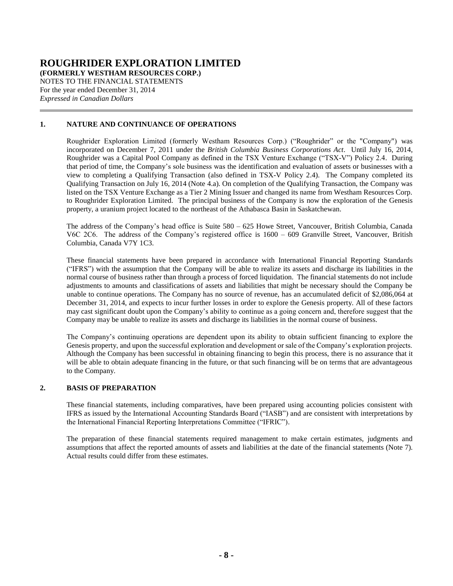**(FORMERLY WESTHAM RESOURCES CORP.)**

NOTES TO THE FINANCIAL STATEMENTS For the year ended December 31, 2014 *Expressed in Canadian Dollars*

## **1. NATURE AND CONTINUANCE OF OPERATIONS**

Roughrider Exploration Limited (formerly Westham Resources Corp.) ("Roughrider" or the "Company") was incorporated on December 7, 2011 under the *British Columbia Business Corporations Act*. Until July 16, 2014, Roughrider was a Capital Pool Company as defined in the TSX Venture Exchange ("TSX-V") Policy 2.4. During that period of time, the Company's sole business was the identification and evaluation of assets or businesses with a view to completing a Qualifying Transaction (also defined in TSX-V Policy 2.4). The Company completed its Qualifying Transaction on July 16, 2014 (Note [4.a\)](#page-13-0). On completion of the Qualifying Transaction, the Company was listed on the TSX Venture Exchange as a Tier 2 Mining Issuer and changed its name from Westham Resources Corp. to Roughrider Exploration Limited. The principal business of the Company is now the exploration of the Genesis property, a uranium project located to the northeast of the Athabasca Basin in Saskatchewan.

The address of the Company's head office is Suite 580 – 625 Howe Street, Vancouver, British Columbia, Canada V6C 2C6. The address of the Company's registered office is 1600 – 609 Granville Street, Vancouver, British Columbia, Canada V7Y 1C3.

These financial statements have been prepared in accordance with International Financial Reporting Standards ("IFRS") with the assumption that the Company will be able to realize its assets and discharge its liabilities in the normal course of business rather than through a process of forced liquidation. The financial statements do not include adjustments to amounts and classifications of assets and liabilities that might be necessary should the Company be unable to continue operations. The Company has no source of revenue, has an accumulated deficit of \$2,086,064 at December 31, 2014, and expects to incur further losses in order to explore the Genesis property. All of these factors may cast significant doubt upon the Company's ability to continue as a going concern and, therefore suggest that the Company may be unable to realize its assets and discharge its liabilities in the normal course of business.

The Company's continuing operations are dependent upon its ability to obtain sufficient financing to explore the Genesis property, and upon the successful exploration and development or sale of the Company's exploration projects. Although the Company has been successful in obtaining financing to begin this process, there is no assurance that it will be able to obtain adequate financing in the future, or that such financing will be on terms that are advantageous to the Company.

### **2. BASIS OF PREPARATION**

These financial statements, including comparatives, have been prepared using accounting policies consistent with IFRS as issued by the International Accounting Standards Board ("IASB") and are consistent with interpretations by the International Financial Reporting Interpretations Committee ("IFRIC").

The preparation of these financial statements required management to make certain estimates, judgments and assumptions that affect the reported amounts of assets and liabilities at the date of the financial statements (Note [7\)](#page-18-0). Actual results could differ from these estimates.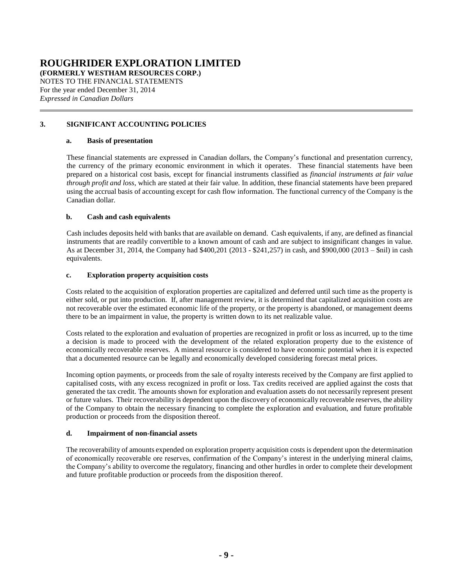**(FORMERLY WESTHAM RESOURCES CORP.)**

NOTES TO THE FINANCIAL STATEMENTS For the year ended December 31, 2014 *Expressed in Canadian Dollars*

## **3. SIGNIFICANT ACCOUNTING POLICIES**

### <span id="page-8-0"></span>**a. Basis of presentation**

These financial statements are expressed in Canadian dollars, the Company's functional and presentation currency, the currency of the primary economic environment in which it operates. These financial statements have been prepared on a historical cost basis, except for financial instruments classified as *financial instruments at fair value through profit and loss*, which are stated at their fair value. In addition, these financial statements have been prepared using the accrual basis of accounting except for cash flow information. The functional currency of the Company is the Canadian dollar.

## **b. Cash and cash equivalents**

Cash includes deposits held with banks that are available on demand. Cash equivalents, if any, are defined as financial instruments that are readily convertible to a known amount of cash and are subject to insignificant changes in value. As at December 31, 2014, the Company had \$400,201 (2013 - \$241,257) in cash, and \$900,000 (2013 – \$nil) in cash equivalents.

## **c. Exploration property acquisition costs**

Costs related to the acquisition of exploration properties are capitalized and deferred until such time as the property is either sold, or put into production. If, after management review, it is determined that capitalized acquisition costs are not recoverable over the estimated economic life of the property, or the property is abandoned, or management deems there to be an impairment in value, the property is written down to its net realizable value.

Costs related to the exploration and evaluation of properties are recognized in profit or loss as incurred, up to the time a decision is made to proceed with the development of the related exploration property due to the existence of economically recoverable reserves. A mineral resource is considered to have economic potential when it is expected that a documented resource can be legally and economically developed considering forecast metal prices.

Incoming option payments, or proceeds from the sale of royalty interests received by the Company are first applied to capitalised costs, with any excess recognized in profit or loss. Tax credits received are applied against the costs that generated the tax credit. The amounts shown for exploration and evaluation assets do not necessarily represent present or future values. Their recoverability is dependent upon the discovery of economically recoverable reserves, the ability of the Company to obtain the necessary financing to complete the exploration and evaluation, and future profitable production or proceeds from the disposition thereof.

### <span id="page-8-1"></span>**d. Impairment of non-financial assets**

The recoverability of amounts expended on exploration property acquisition costs is dependent upon the determination of economically recoverable ore reserves, confirmation of the Company's interest in the underlying mineral claims, the Company's ability to overcome the regulatory, financing and other hurdles in order to complete their development and future profitable production or proceeds from the disposition thereof.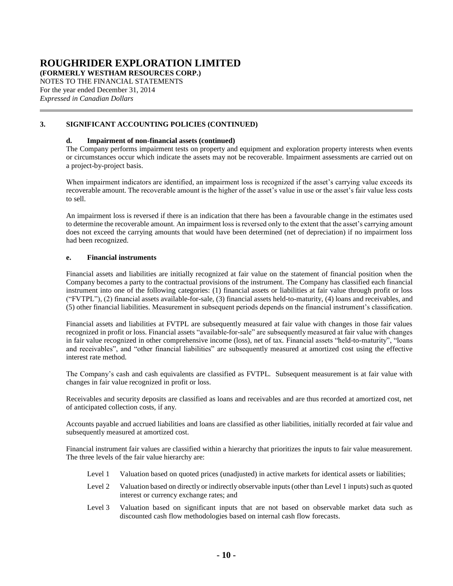**(FORMERLY WESTHAM RESOURCES CORP.)**

NOTES TO THE FINANCIAL STATEMENTS For the year ended December 31, 2014 *Expressed in Canadian Dollars*

## **[3.](#page-8-0) SIGNIFICANT ACCOUNTING POLICIES (CONTINUED)**

### **[d.](#page-8-1) Impairment of non-financial assets (continued)**

The Company performs impairment tests on property and equipment and exploration property interests when events or circumstances occur which indicate the assets may not be recoverable. Impairment assessments are carried out on a project-by-project basis.

When impairment indicators are identified, an impairment loss is recognized if the asset's carrying value exceeds its recoverable amount. The recoverable amount is the higher of the asset's value in use or the asset's fair value less costs to sell.

An impairment loss is reversed if there is an indication that there has been a favourable change in the estimates used to determine the recoverable amount. An impairment loss is reversed only to the extent that the asset's carrying amount does not exceed the carrying amounts that would have been determined (net of depreciation) if no impairment loss had been recognized.

### **e. Financial instruments**

Financial assets and liabilities are initially recognized at fair value on the statement of financial position when the Company becomes a party to the contractual provisions of the instrument. The Company has classified each financial instrument into one of the following categories: (1) financial assets or liabilities at fair value through profit or loss ("FVTPL"), (2) financial assets available-for-sale, (3) financial assets held-to-maturity, (4) loans and receivables, and (5) other financial liabilities. Measurement in subsequent periods depends on the financial instrument's classification.

Financial assets and liabilities at FVTPL are subsequently measured at fair value with changes in those fair values recognized in profit or loss. Financial assets "available-for-sale" are subsequently measured at fair value with changes in fair value recognized in other comprehensive income (loss), net of tax. Financial assets "held-to-maturity", "loans and receivables", and "other financial liabilities" are subsequently measured at amortized cost using the effective interest rate method.

The Company's cash and cash equivalents are classified as FVTPL. Subsequent measurement is at fair value with changes in fair value recognized in profit or loss.

Receivables and security deposits are classified as loans and receivables and are thus recorded at amortized cost, net of anticipated collection costs, if any.

Accounts payable and accrued liabilities and loans are classified as other liabilities, initially recorded at fair value and subsequently measured at amortized cost.

Financial instrument fair values are classified within a hierarchy that prioritizes the inputs to fair value measurement. The three levels of the fair value hierarchy are:

- Level 1 Valuation based on quoted prices (unadjusted) in active markets for identical assets or liabilities;
- Level 2 Valuation based on directly or indirectly observable inputs (other than Level 1 inputs) such as quoted interest or currency exchange rates; and
- Level 3 Valuation based on significant inputs that are not based on observable market data such as discounted cash flow methodologies based on internal cash flow forecasts.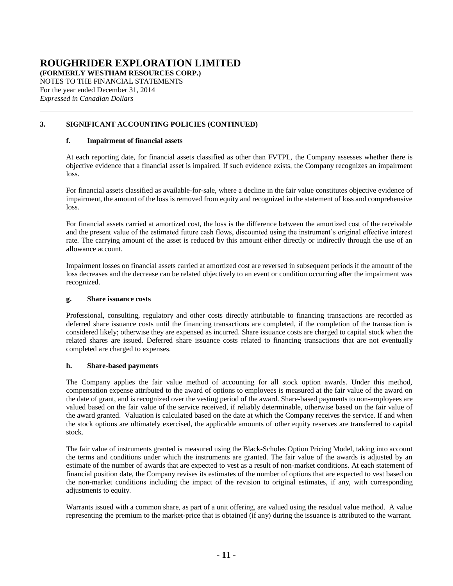**(FORMERLY WESTHAM RESOURCES CORP.)**

NOTES TO THE FINANCIAL STATEMENTS For the year ended December 31, 2014 *Expressed in Canadian Dollars*

## **[3.](#page-8-0) SIGNIFICANT ACCOUNTING POLICIES (CONTINUED)**

## **f. Impairment of financial assets**

At each reporting date, for financial assets classified as other than FVTPL, the Company assesses whether there is objective evidence that a financial asset is impaired. If such evidence exists, the Company recognizes an impairment loss.

For financial assets classified as available-for-sale, where a decline in the fair value constitutes objective evidence of impairment, the amount of the loss is removed from equity and recognized in the statement of loss and comprehensive loss.

For financial assets carried at amortized cost, the loss is the difference between the amortized cost of the receivable and the present value of the estimated future cash flows, discounted using the instrument's original effective interest rate. The carrying amount of the asset is reduced by this amount either directly or indirectly through the use of an allowance account.

Impairment losses on financial assets carried at amortized cost are reversed in subsequent periods if the amount of the loss decreases and the decrease can be related objectively to an event or condition occurring after the impairment was recognized.

### **g. Share issuance costs**

Professional, consulting, regulatory and other costs directly attributable to financing transactions are recorded as deferred share issuance costs until the financing transactions are completed, if the completion of the transaction is considered likely; otherwise they are expensed as incurred. Share issuance costs are charged to capital stock when the related shares are issued. Deferred share issuance costs related to financing transactions that are not eventually completed are charged to expenses.

### **h. Share-based payments**

The Company applies the fair value method of accounting for all stock option awards. Under this method, compensation expense attributed to the award of options to employees is measured at the fair value of the award on the date of grant, and is recognized over the vesting period of the award. Share-based payments to non-employees are valued based on the fair value of the service received, if reliably determinable, otherwise based on the fair value of the award granted. Valuation is calculated based on the date at which the Company receives the service. If and when the stock options are ultimately exercised, the applicable amounts of other equity reserves are transferred to capital stock.

The fair value of instruments granted is measured using the Black-Scholes Option Pricing Model, taking into account the terms and conditions under which the instruments are granted. The fair value of the awards is adjusted by an estimate of the number of awards that are expected to vest as a result of non-market conditions. At each statement of financial position date, the Company revises its estimates of the number of options that are expected to vest based on the non-market conditions including the impact of the revision to original estimates, if any, with corresponding adjustments to equity.

Warrants issued with a common share, as part of a unit offering, are valued using the residual value method. A value representing the premium to the market-price that is obtained (if any) during the issuance is attributed to the warrant.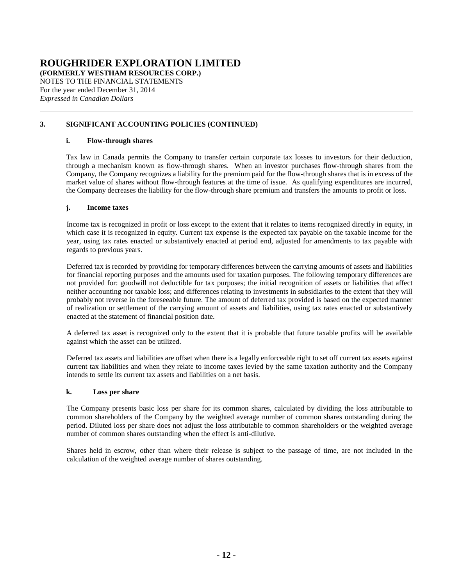**(FORMERLY WESTHAM RESOURCES CORP.)**

NOTES TO THE FINANCIAL STATEMENTS For the year ended December 31, 2014 *Expressed in Canadian Dollars*

## **[3.](#page-8-0) SIGNIFICANT ACCOUNTING POLICIES (CONTINUED)**

## **i. Flow-through shares**

Tax law in Canada permits the Company to transfer certain corporate tax losses to investors for their deduction, through a mechanism known as flow-through shares. When an investor purchases flow-through shares from the Company, the Company recognizes a liability for the premium paid for the flow-through shares that is in excess of the market value of shares without flow-through features at the time of issue. As qualifying expenditures are incurred, the Company decreases the liability for the flow-through share premium and transfers the amounts to profit or loss.

### **j. Income taxes**

Income tax is recognized in profit or loss except to the extent that it relates to items recognized directly in equity, in which case it is recognized in equity. Current tax expense is the expected tax payable on the taxable income for the year, using tax rates enacted or substantively enacted at period end, adjusted for amendments to tax payable with regards to previous years.

Deferred tax is recorded by providing for temporary differences between the carrying amounts of assets and liabilities for financial reporting purposes and the amounts used for taxation purposes. The following temporary differences are not provided for: goodwill not deductible for tax purposes; the initial recognition of assets or liabilities that affect neither accounting nor taxable loss; and differences relating to investments in subsidiaries to the extent that they will probably not reverse in the foreseeable future. The amount of deferred tax provided is based on the expected manner of realization or settlement of the carrying amount of assets and liabilities, using tax rates enacted or substantively enacted at the statement of financial position date.

A deferred tax asset is recognized only to the extent that it is probable that future taxable profits will be available against which the asset can be utilized.

Deferred tax assets and liabilities are offset when there is a legally enforceable right to set off current tax assets against current tax liabilities and when they relate to income taxes levied by the same taxation authority and the Company intends to settle its current tax assets and liabilities on a net basis.

### **k. Loss per share**

The Company presents basic loss per share for its common shares, calculated by dividing the loss attributable to common shareholders of the Company by the weighted average number of common shares outstanding during the period. Diluted loss per share does not adjust the loss attributable to common shareholders or the weighted average number of common shares outstanding when the effect is anti-dilutive.

Shares held in escrow, other than where their release is subject to the passage of time, are not included in the calculation of the weighted average number of shares outstanding.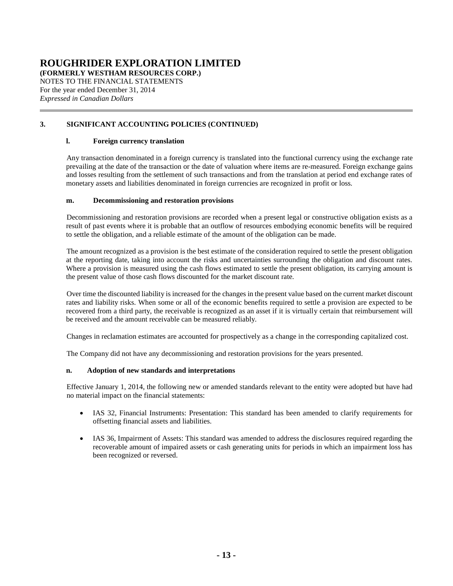**(FORMERLY WESTHAM RESOURCES CORP.)**

NOTES TO THE FINANCIAL STATEMENTS For the year ended December 31, 2014 *Expressed in Canadian Dollars*

## **[3.](#page-8-0) SIGNIFICANT ACCOUNTING POLICIES (CONTINUED)**

## **l. Foreign currency translation**

Any transaction denominated in a foreign currency is translated into the functional currency using the exchange rate prevailing at the date of the transaction or the date of valuation where items are re-measured. Foreign exchange gains and losses resulting from the settlement of such transactions and from the translation at period end exchange rates of monetary assets and liabilities denominated in foreign currencies are recognized in profit or loss.

### **m. Decommissioning and restoration provisions**

Decommissioning and restoration provisions are recorded when a present legal or constructive obligation exists as a result of past events where it is probable that an outflow of resources embodying economic benefits will be required to settle the obligation, and a reliable estimate of the amount of the obligation can be made.

The amount recognized as a provision is the best estimate of the consideration required to settle the present obligation at the reporting date, taking into account the risks and uncertainties surrounding the obligation and discount rates. Where a provision is measured using the cash flows estimated to settle the present obligation, its carrying amount is the present value of those cash flows discounted for the market discount rate.

Over time the discounted liability is increased for the changes in the present value based on the current market discount rates and liability risks. When some or all of the economic benefits required to settle a provision are expected to be recovered from a third party, the receivable is recognized as an asset if it is virtually certain that reimbursement will be received and the amount receivable can be measured reliably.

Changes in reclamation estimates are accounted for prospectively as a change in the corresponding capitalized cost.

The Company did not have any decommissioning and restoration provisions for the years presented.

## **n. Adoption of new standards and interpretations**

Effective January 1, 2014, the following new or amended standards relevant to the entity were adopted but have had no material impact on the financial statements:

- IAS 32, Financial Instruments: Presentation: This standard has been amended to clarify requirements for offsetting financial assets and liabilities.
- IAS 36, Impairment of Assets: This standard was amended to address the disclosures required regarding the recoverable amount of impaired assets or cash generating units for periods in which an impairment loss has been recognized or reversed.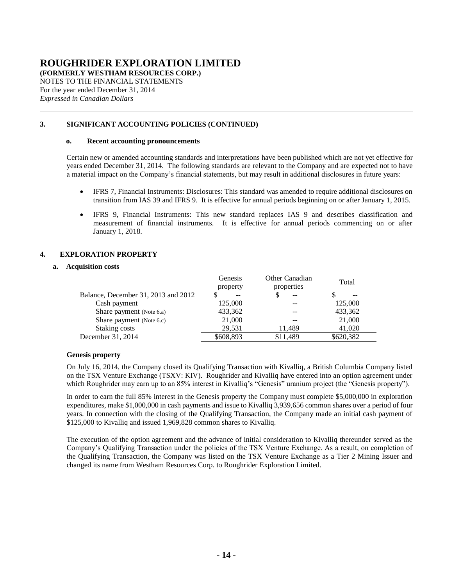**(FORMERLY WESTHAM RESOURCES CORP.)**

NOTES TO THE FINANCIAL STATEMENTS For the year ended December 31, 2014 *Expressed in Canadian Dollars*

## **[3.](#page-8-0) SIGNIFICANT ACCOUNTING POLICIES (CONTINUED)**

### **o. Recent accounting pronouncements**

Certain new or amended accounting standards and interpretations have been published which are not yet effective for years ended December 31, 2014. The following standards are relevant to the Company and are expected not to have a material impact on the Company's financial statements, but may result in additional disclosures in future years:

- IFRS 7, Financial Instruments: Disclosures: This standard was amended to require additional disclosures on transition from IAS 39 and IFRS 9. It is effective for annual periods beginning on or after January 1, 2015.
- IFRS 9, Financial Instruments: This new standard replaces IAS 9 and describes classification and measurement of financial instruments. It is effective for annual periods commencing on or after January 1, 2018.

## <span id="page-13-1"></span><span id="page-13-0"></span>**4. EXPLORATION PROPERTY**

### **a. Acquisition costs**

|                                     | Genesis<br>property | Other Canadian<br>properties | Total     |
|-------------------------------------|---------------------|------------------------------|-----------|
| Balance, December 31, 2013 and 2012 | $- -$               | $-$                          | $- -$     |
| Cash payment                        | 125,000             |                              | 125,000   |
| Share payment (Note 6.a)            | 433,362             |                              | 433,362   |
| Share payment (Note 6.c)            | 21,000              | --                           | 21,000    |
| Staking costs                       | 29.531              | 11.489                       | 41,020    |
| December 31, 2014                   | \$608,893           | \$11,489                     | \$620,382 |

#### **Genesis property**

On July 16, 2014, the Company closed its Qualifying Transaction with Kivalliq, a British Columbia Company listed on the TSX Venture Exchange (TSXV: KIV). Roughrider and Kivalliq have entered into an option agreement under which Roughrider may earn up to an 85% interest in Kivalliq's "Genesis" uranium project (the "Genesis property").

In order to earn the full 85% interest in the Genesis property the Company must complete \$5,000,000 in exploration expenditures, make \$1,000,000 in cash payments and issue to Kivalliq 3,939,656 common shares over a period of four years. In connection with the closing of the Qualifying Transaction, the Company made an initial cash payment of \$125,000 to Kivalliq and issued 1,969,828 common shares to Kivalliq.

The execution of the option agreement and the advance of initial consideration to Kivalliq thereunder served as the Company's Qualifying Transaction under the policies of the TSX Venture Exchange. As a result, on completion of the Qualifying Transaction, the Company was listed on the TSX Venture Exchange as a Tier 2 Mining Issuer and changed its name from Westham Resources Corp. to Roughrider Exploration Limited.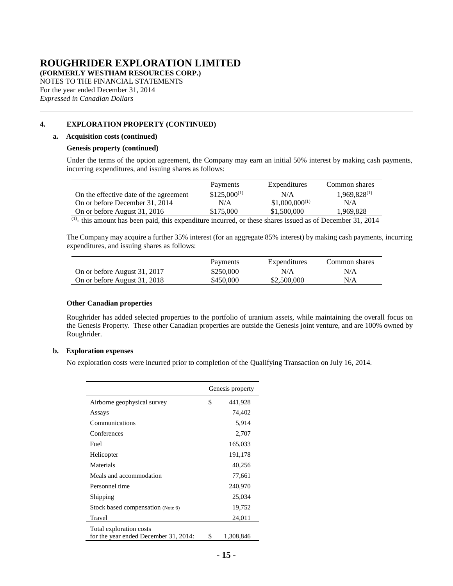**(FORMERLY WESTHAM RESOURCES CORP.)**

NOTES TO THE FINANCIAL STATEMENTS For the year ended December 31, 2014 *Expressed in Canadian Dollars*

## **[4.](#page-13-1) EXPLORATION PROPERTY (CONTINUED)**

#### **[a.](#page-13-0) Acquisition costs (continued)**

#### **Genesis property (continued)**

Under the terms of the option agreement, the Company may earn an initial 50% interest by making cash payments, incurring expenditures, and issuing shares as follows:

|                                        | Payments         | Expenditures       | Common shares     |
|----------------------------------------|------------------|--------------------|-------------------|
| On the effective date of the agreement | $$125,000^{(1)}$ | N/A                | $1,969,828^{(1)}$ |
| On or before December 31, 2014         | N/A              | $$1,000,000^{(1)}$ | N/A               |
| On or before August 31, 2016           | \$175,000        | \$1,500,000        | 1.969.828         |
| $(1)$ $\ldots$                         |                  |                    | 21.221            |

 $<sup>(1)</sup>$ - this amount has been paid, this expenditure incurred, or these shares issued as of December 31, 2014</sup>

The Company may acquire a further 35% interest (for an aggregate 85% interest) by making cash payments, incurring expenditures, and issuing shares as follows:

|                              | Payments  | Expenditures | Common shares |
|------------------------------|-----------|--------------|---------------|
| On or before August 31, 2017 | \$250,000 | N/A          | N/A           |
| On or before August 31, 2018 | \$450,000 | \$2,500,000  | N/A           |

### **Other Canadian properties**

Roughrider has added selected properties to the portfolio of uranium assets, while maintaining the overall focus on the Genesis Property. These other Canadian properties are outside the Genesis joint venture, and are 100% owned by Roughrider.

#### <span id="page-14-0"></span>**b. Exploration expenses**

No exploration costs were incurred prior to completion of the Qualifying Transaction on July 16, 2014.

|                                                                  |    | Genesis property |
|------------------------------------------------------------------|----|------------------|
| Airborne geophysical survey                                      | \$ | 441,928          |
| Assays                                                           |    | 74,402           |
| Communications                                                   |    | 5,914            |
| Conferences                                                      |    | 2,707            |
| Fuel                                                             |    | 165,033          |
| Helicopter                                                       |    | 191,178          |
| Materials                                                        |    | 40,256           |
| Meals and accommodation                                          |    | 77,661           |
| Personnel time                                                   |    | 240,970          |
| Shipping                                                         |    | 25,034           |
| Stock based compensation (Note 6)                                |    | 19,752           |
| Travel                                                           |    | 24,011           |
| Total exploration costs<br>for the year ended December 31, 2014: | S  | 1,308,846        |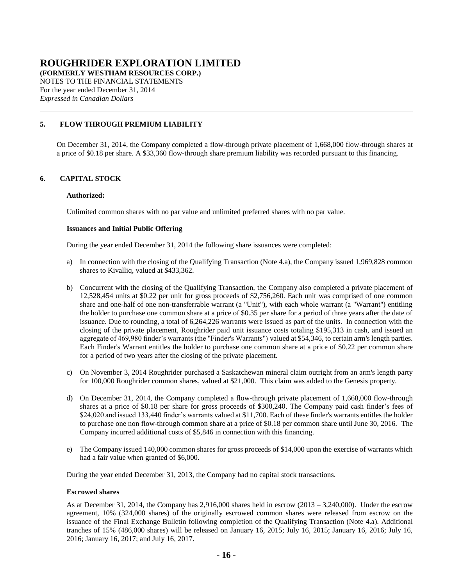**(FORMERLY WESTHAM RESOURCES CORP.)**

NOTES TO THE FINANCIAL STATEMENTS For the year ended December 31, 2014 *Expressed in Canadian Dollars*

## <span id="page-15-0"></span>**5. FLOW THROUGH PREMIUM LIABILITY**

On December 31, 2014, the Company completed a flow-through private placement of 1,668,000 flow-through shares at a price of \$0.18 per share. A \$33,360 flow-through share premium liability was recorded pursuant to this financing.

## <span id="page-15-1"></span>**6. CAPITAL STOCK**

### **Authorized:**

Unlimited common shares with no par value and unlimited preferred shares with no par value.

### **Issuances and Initial Public Offering**

During the year ended December 31, 2014 the following share issuances were completed:

- <span id="page-15-2"></span>a) In connection with the closing of the Qualifying Transaction (Note [4.a\)](#page-13-0), the Company issued 1,969,828 common shares to Kivalliq, valued at \$433,362.
- b) Concurrent with the closing of the Qualifying Transaction, the Company also completed a private placement of 12,528,454 units at \$0.22 per unit for gross proceeds of \$2,756,260. Each unit was comprised of one common share and one-half of one non-transferrable warrant (a "Unit"), with each whole warrant (a "Warrant") entitling the holder to purchase one common share at a price of \$0.35 per share for a period of three years after the date of issuance. Due to rounding, a total of 6,264,226 warrants were issued as part of the units. In connection with the closing of the private placement, Roughrider paid unit issuance costs totaling \$195,313 in cash, and issued an aggregate of 469,980 finder's warrants (the "Finder's Warrants") valued at \$54,346, to certain arm's length parties. Each Finder's Warrant entitles the holder to purchase one common share at a price of \$0.22 per common share for a period of two years after the closing of the private placement.
- <span id="page-15-3"></span>c) On November 3, 2014 Roughrider purchased a Saskatchewan mineral claim outright from an arm's length party for 100,000 Roughrider common shares, valued at \$21,000. This claim was added to the Genesis property.
- d) On December 31, 2014, the Company completed a flow-through private placement of 1,668,000 flow-through shares at a price of \$0.18 per share for gross proceeds of \$300,240. The Company paid cash finder's fees of \$24,020 and issued 133,440 finder's warrants valued at \$11,700. Each of these finder's warrants entitles the holder to purchase one non flow-through common share at a price of \$0.18 per common share until June 30, 2016. The Company incurred additional costs of \$5,846 in connection with this financing.
- e) The Company issued 140,000 common shares for gross proceeds of \$14,000 upon the exercise of warrants which had a fair value when granted of \$6,000.

During the year ended December 31, 2013, the Company had no capital stock transactions.

#### **Escrowed shares**

As at December 31, 2014, the Company has 2,916,000 shares held in escrow (2013 – 3,240,000). Under the escrow agreement, 10% (324,000 shares) of the originally escrowed common shares were released from escrow on the issuance of the Final Exchange Bulletin following completion of the Qualifying Transaction (Note [4.a\)](#page-13-0). Additional tranches of 15% (486,000 shares) will be released on January 16, 2015; July 16, 2015; January 16, 2016; July 16, 2016; January 16, 2017; and July 16, 2017.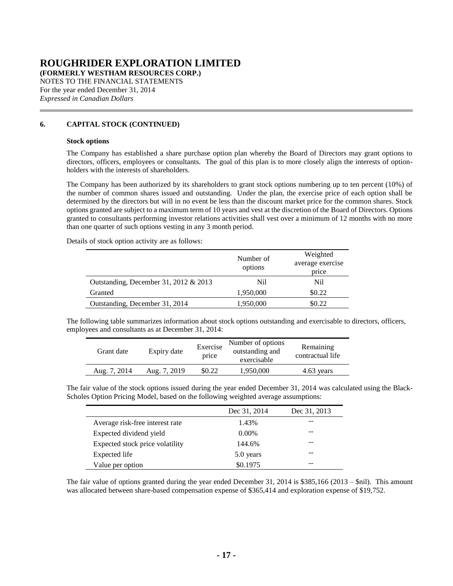**(FORMERLY WESTHAM RESOURCES CORP.)**

NOTES TO THE FINANCIAL STATEMENTS For the year ended December 31, 2014 *Expressed in Canadian Dollars*

## **[6.](#page-15-1) CAPITAL STOCK (CONTINUED)**

#### **Stock options**

The Company has established a share purchase option plan whereby the Board of Directors may grant options to directors, officers, employees or consultants. The goal of this plan is to more closely align the interests of optionholders with the interests of shareholders.

The Company has been authorized by its shareholders to grant stock options numbering up to ten percent (10%) of the number of common shares issued and outstanding. Under the plan, the exercise price of each option shall be determined by the directors but will in no event be less than the discount market price for the common shares. Stock options granted are subject to a maximum term of 10 years and vest at the discretion of the Board of Directors. Options granted to consultants performing investor relations activities shall vest over a minimum of 12 months with no more than one quarter of such options vesting in any 3 month period.

Details of stock option activity are as follows:

|                                         | Number of<br>options | Weighted<br>average exercise<br>price |
|-----------------------------------------|----------------------|---------------------------------------|
| Outstanding, December 31, 2012 $& 2013$ | Nil                  | Nil.                                  |
| Granted                                 | 1,950,000            | \$0.22                                |
| Outstanding, December 31, 2014          | 1,950,000            | \$0.22                                |

The following table summarizes information about stock options outstanding and exercisable to directors, officers, employees and consultants as at December 31, 2014:

| Grant date   | Expiry date  | Exercise<br>price | Number of options<br>outstanding and<br>exercisable | Remaining<br>contractual life |
|--------------|--------------|-------------------|-----------------------------------------------------|-------------------------------|
| Aug. 7, 2014 | Aug. 7, 2019 | \$0.22            | 1,950,000                                           | 4.63 years                    |

The fair value of the stock options issued during the year ended December 31, 2014 was calculated using the Black-Scholes Option Pricing Model, based on the following weighted average assumptions:

|                                 | Dec 31, 2014 | Dec 31, 2013 |
|---------------------------------|--------------|--------------|
| Average risk-free interest rate | 1.43%        |              |
| Expected dividend yield         | $0.00\%$     |              |
| Expected stock price volatility | 144.6%       |              |
| Expected life                   | 5.0 years    |              |
| Value per option                | \$0.1975     |              |

The fair value of options granted during the year ended December 31, 2014 is \$385,166 (2013 – \$nil). This amount was allocated between share-based compensation expense of \$365,414 and exploration expense of \$19,752.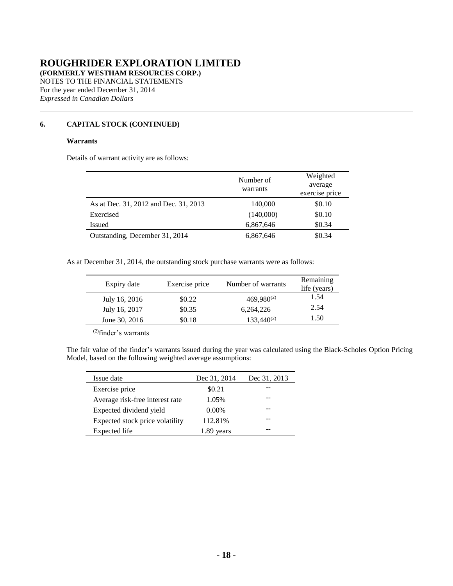**(FORMERLY WESTHAM RESOURCES CORP.)**

NOTES TO THE FINANCIAL STATEMENTS For the year ended December 31, 2014 *Expressed in Canadian Dollars*

## **[6.](#page-15-1) CAPITAL STOCK (CONTINUED)**

### **Warrants**

Details of warrant activity are as follows:

|                                       | Number of<br>warrants | Weighted<br>average<br>exercise price |
|---------------------------------------|-----------------------|---------------------------------------|
| As at Dec. 31, 2012 and Dec. 31, 2013 | 140,000               | \$0.10                                |
| Exercised                             | (140,000)             | \$0.10                                |
| Issued                                | 6,867,646             | \$0.34                                |
| Outstanding, December 31, 2014        | 6,867,646             | \$0.34                                |

As at December 31, 2014, the outstanding stock purchase warrants were as follows:

| Expiry date   | Exercise price | Number of warrants | Remaining<br>life (years) |
|---------------|----------------|--------------------|---------------------------|
| July 16, 2016 | \$0.22         | $469,980^{(2)}$    | 1.54                      |
| July 16, 2017 | \$0.35         | 6,264,226          | 2.54                      |
| June 30, 2016 | \$0.18         | $133,440^{(2)}$    | 1.50                      |

(2)finder's warrants

The fair value of the finder's warrants issued during the year was calculated using the Black-Scholes Option Pricing Model, based on the following weighted average assumptions:

| Issue date                      | Dec 31, 2014 | Dec 31, 2013 |
|---------------------------------|--------------|--------------|
| Exercise price                  | \$0.21       |              |
| Average risk-free interest rate | 1.05%        |              |
| Expected dividend yield         | $0.00\%$     |              |
| Expected stock price volatility | 112.81%      |              |
| Expected life                   | vears        |              |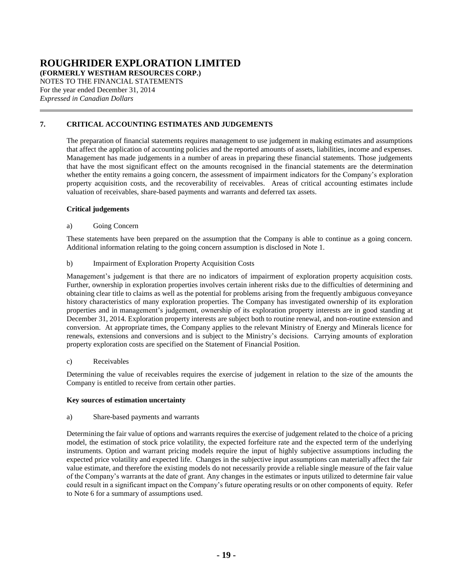**(FORMERLY WESTHAM RESOURCES CORP.)**

NOTES TO THE FINANCIAL STATEMENTS For the year ended December 31, 2014 *Expressed in Canadian Dollars*

## **7. CRITICAL ACCOUNTING ESTIMATES AND JUDGEMENTS**

<span id="page-18-0"></span>The preparation of financial statements requires management to use judgement in making estimates and assumptions that affect the application of accounting policies and the reported amounts of assets, liabilities, income and expenses. Management has made judgements in a number of areas in preparing these financial statements. Those judgements that have the most significant effect on the amounts recognised in the financial statements are the determination whether the entity remains a going concern, the assessment of impairment indicators for the Company's exploration property acquisition costs, and the recoverability of receivables. Areas of critical accounting estimates include valuation of receivables, share-based payments and warrants and deferred tax assets.

## **Critical judgements**

## a) Going Concern

These statements have been prepared on the assumption that the Company is able to continue as a going concern. Additional information relating to the going concern assumption is disclosed in Note 1.

## b) Impairment of Exploration Property Acquisition Costs

Management's judgement is that there are no indicators of impairment of exploration property acquisition costs. Further, ownership in exploration properties involves certain inherent risks due to the difficulties of determining and obtaining clear title to claims as well as the potential for problems arising from the frequently ambiguous conveyance history characteristics of many exploration properties. The Company has investigated ownership of its exploration properties and in management's judgement, ownership of its exploration property interests are in good standing at December 31, 2014. Exploration property interests are subject both to routine renewal, and non-routine extension and conversion. At appropriate times, the Company applies to the relevant Ministry of Energy and Minerals licence for renewals, extensions and conversions and is subject to the Ministry's decisions. Carrying amounts of exploration property exploration costs are specified on the Statement of Financial Position.

### c) Receivables

Determining the value of receivables requires the exercise of judgement in relation to the size of the amounts the Company is entitled to receive from certain other parties.

### **Key sources of estimation uncertainty**

### a) Share-based payments and warrants

Determining the fair value of options and warrants requires the exercise of judgement related to the choice of a pricing model, the estimation of stock price volatility, the expected forfeiture rate and the expected term of the underlying instruments. Option and warrant pricing models require the input of highly subjective assumptions including the expected price volatility and expected life. Changes in the subjective input assumptions can materially affect the fair value estimate, and therefore the existing models do not necessarily provide a reliable single measure of the fair value of the Company's warrants at the date of grant. Any changes in the estimates or inputs utilized to determine fair value could result in a significant impact on the Company's future operating results or on other components of equity. Refer to Note [6](#page-15-1) for a summary of assumptions used.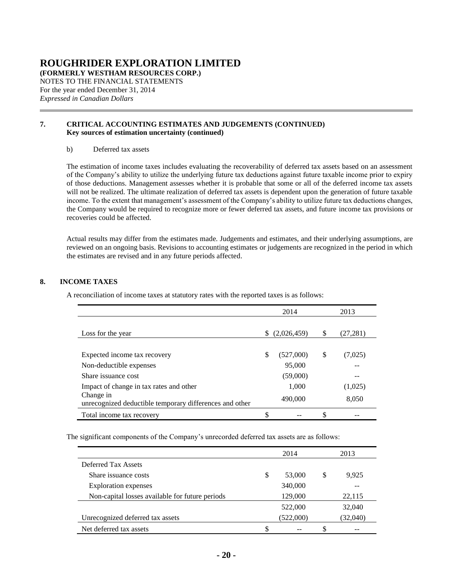**(FORMERLY WESTHAM RESOURCES CORP.)**

NOTES TO THE FINANCIAL STATEMENTS For the year ended December 31, 2014 *Expressed in Canadian Dollars*

### **[7.](#page-18-0) CRITICAL ACCOUNTING ESTIMATES AND JUDGEMENTS (CONTINUED) Key sources of estimation uncertainty (continued)**

### b) Deferred tax assets

The estimation of income taxes includes evaluating the recoverability of deferred tax assets based on an assessment of the Company's ability to utilize the underlying future tax deductions against future taxable income prior to expiry of those deductions. Management assesses whether it is probable that some or all of the deferred income tax assets will not be realized. The ultimate realization of deferred tax assets is dependent upon the generation of future taxable income. To the extent that management's assessment of the Company's ability to utilize future tax deductions changes, the Company would be required to recognize more or fewer deferred tax assets, and future income tax provisions or recoveries could be affected.

Actual results may differ from the estimates made. Judgements and estimates, and their underlying assumptions, are reviewed on an ongoing basis. Revisions to accounting estimates or judgements are recognized in the period in which the estimates are revised and in any future periods affected.

## <span id="page-19-0"></span>**8. INCOME TAXES**

A reconciliation of income taxes at statutory rates with the reported taxes is as follows:

|                                                                      | 2014              |   | 2013     |
|----------------------------------------------------------------------|-------------------|---|----------|
|                                                                      |                   |   |          |
| Loss for the year                                                    | \$<br>(2,026,459) | S | (27,281) |
|                                                                      |                   |   |          |
| Expected income tax recovery                                         | \$<br>(527,000)   | S | (7,025)  |
| Non-deductible expenses                                              | 95,000            |   |          |
| Share issuance cost                                                  | (59,000)          |   |          |
| Impact of change in tax rates and other                              | 1,000             |   | (1,025)  |
| Change in<br>unrecognized deductible temporary differences and other | 490,000           |   | 8,050    |
| Total income tax recovery                                            | \$                | S |          |

The significant components of the Company's unrecorded deferred tax assets are as follows:

|                                                 |   | 2014      |   | 2013     |
|-------------------------------------------------|---|-----------|---|----------|
| Deferred Tax Assets                             |   |           |   |          |
| Share issuance costs                            | S | 53,000    | S | 9,925    |
| <b>Exploration</b> expenses                     |   | 340,000   |   |          |
| Non-capital losses available for future periods |   | 129,000   |   | 22,115   |
|                                                 |   | 522,000   |   | 32,040   |
| Unrecognized deferred tax assets                |   | (522,000) |   | (32,040) |
| Net deferred tax assets                         | S |           | S |          |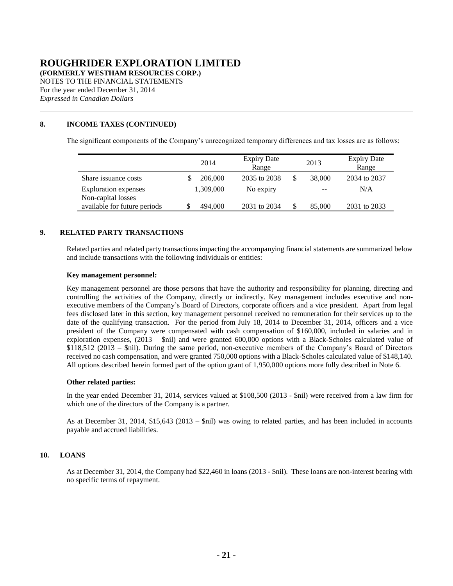**(FORMERLY WESTHAM RESOURCES CORP.)**

NOTES TO THE FINANCIAL STATEMENTS For the year ended December 31, 2014 *Expressed in Canadian Dollars*

## **[8.](#page-19-0) INCOME TAXES (CONTINUED)**

The significant components of the Company's unrecognized temporary differences and tax losses are as follows:

|                                                   | 2014      | <b>Expiry Date</b><br>Range | 2013   | <b>Expiry Date</b><br>Range |
|---------------------------------------------------|-----------|-----------------------------|--------|-----------------------------|
| Share issuance costs                              | 206,000   | 2035 to 2038                | 38,000 | 2034 to 2037                |
| <b>Exploration</b> expenses<br>Non-capital losses | 1,309,000 | No expiry                   | $- -$  | N/A                         |
| available for future periods                      | 494,000   | 2031 to 2034                | 85,000 | 2031 to 2033                |

## <span id="page-20-0"></span>**9. RELATED PARTY TRANSACTIONS**

Related parties and related party transactions impacting the accompanying financial statements are summarized below and include transactions with the following individuals or entities:

### **Key management personnel:**

Key management personnel are those persons that have the authority and responsibility for planning, directing and controlling the activities of the Company, directly or indirectly. Key management includes executive and nonexecutive members of the Company's Board of Directors, corporate officers and a vice president. Apart from legal fees disclosed later in this section, key management personnel received no remuneration for their services up to the date of the qualifying transaction. For the period from July 18, 2014 to December 31, 2014, officers and a vice president of the Company were compensated with cash compensation of \$160,000, included in salaries and in exploration expenses, (2013 – \$nil) and were granted 600,000 options with a Black-Scholes calculated value of \$118,512 (2013 – \$nil). During the same period, non-executive members of the Company's Board of Directors received no cash compensation, and were granted 750,000 options with a Black-Scholes calculated value of \$148,140. All options described herein formed part of the option grant of 1,950,000 options more fully described in Note [6.](#page-15-1)

#### **Other related parties:**

In the year ended December 31, 2014, services valued at \$108,500 (2013 - \$nil) were received from a law firm for which one of the directors of the Company is a partner.

As at December 31, 2014, \$15,643 (2013 – \$nil) was owing to related parties, and has been included in accounts payable and accrued liabilities.

### <span id="page-20-1"></span>**10. LOANS**

As at December 31, 2014, the Company had \$22,460 in loans (2013 - \$nil). These loans are non-interest bearing with no specific terms of repayment.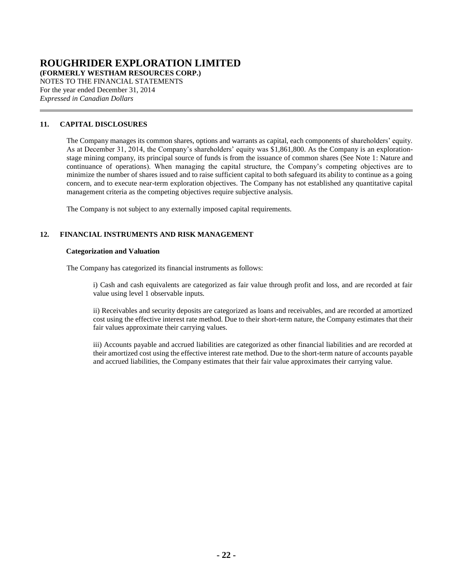**(FORMERLY WESTHAM RESOURCES CORP.)**

NOTES TO THE FINANCIAL STATEMENTS For the year ended December 31, 2014 *Expressed in Canadian Dollars*

## **11. CAPITAL DISCLOSURES**

The Company manages its common shares, options and warrants as capital, each components of shareholders' equity. As at December 31, 2014, the Company's shareholders' equity was \$1,861,800. As the Company is an explorationstage mining company, its principal source of funds is from the issuance of common shares (See Note 1: Nature and continuance of operations). When managing the capital structure, the Company's competing objectives are to minimize the number of shares issued and to raise sufficient capital to both safeguard its ability to continue as a going concern, and to execute near-term exploration objectives. The Company has not established any quantitative capital management criteria as the competing objectives require subjective analysis.

The Company is not subject to any externally imposed capital requirements.

## <span id="page-21-0"></span>**12. FINANCIAL INSTRUMENTS AND RISK MANAGEMENT**

### **Categorization and Valuation**

The Company has categorized its financial instruments as follows:

i) Cash and cash equivalents are categorized as fair value through profit and loss, and are recorded at fair value using level 1 observable inputs.

ii) Receivables and security deposits are categorized as loans and receivables, and are recorded at amortized cost using the effective interest rate method. Due to their short-term nature, the Company estimates that their fair values approximate their carrying values.

iii) Accounts payable and accrued liabilities are categorized as other financial liabilities and are recorded at their amortized cost using the effective interest rate method. Due to the short-term nature of accounts payable and accrued liabilities, the Company estimates that their fair value approximates their carrying value.